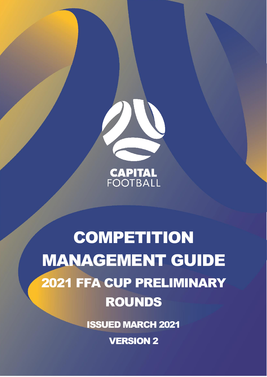

**CAPITAL**<br>FOOTBALL

# **COMPETITION** MANAGEMENT GUIDE 2021 FFA CUP PRELIMINARY ROUNDS

ISSUED MARCH 2021

VERSION 2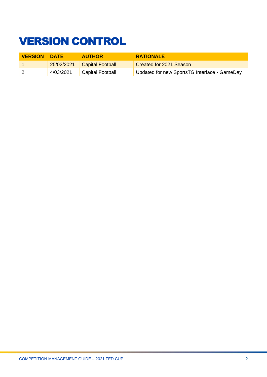# <span id="page-1-0"></span>VERSION CONTROL

| <b>VERSION</b> | <b>DATE</b> | <b>AUTHOR</b>                 | <b>RATIONALE</b>                             |
|----------------|-------------|-------------------------------|----------------------------------------------|
|                |             | 25/02/2021   Capital Football | <b>Created for 2021 Season</b>               |
|                | 4/03/2021   | <b>Capital Football</b>       | Updated for new SportsTG Interface - GameDay |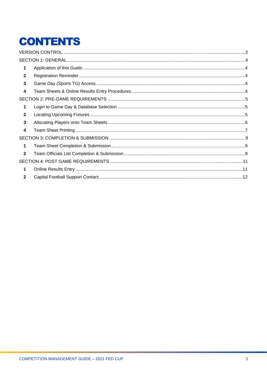# **CONTENTS**

| 1            |  |
|--------------|--|
| $\mathbf{2}$ |  |
| 3            |  |
| 4            |  |
|              |  |
| 1            |  |
| $\mathbf{2}$ |  |
| 3            |  |
| 4            |  |
|              |  |
| $\mathbf 1$  |  |
| $\mathbf{2}$ |  |
|              |  |
| 1            |  |
| $\mathbf{2}$ |  |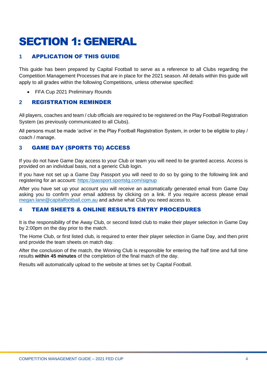# <span id="page-3-0"></span>SECTION 1: GENERAL

### <span id="page-3-1"></span>**1** APPLICATION OF THIS GUIDE

This guide has been prepared by Capital Football to serve as a reference to all Clubs regarding the Competition Management Processes that are in place for the 2021 season. All details within this guide will apply to all grades within the following Competitions, unless otherwise specified:

• FFA Cup 2021 Preliminary Rounds

#### <span id="page-3-2"></span>**2** REGISTRATION REMINDER

All players, coaches and team / club officials are required to be registered on the Play Football Registration System (as previously communicated to all Clubs).

All persons must be made 'active' in the Play Football Registration System, in order to be eligible to play / coach / manage.

### <span id="page-3-3"></span>**3** GAME DAY (SPORTS TG) ACCESS

If you do not have Game Day access to your Club or team you will need to be granted access. Access is provided on an individual basis, not a generic Club login.

If you have not set up a Game Day Passport you will need to do so by going to the following link and registering for an account:<https://passport.sportstg.com/signup>

After you have set up your account you will receive an automatically generated email from Game Day asking you to confirm your email address by clicking on a link. If you require access please email [megan.lane@capitalfootball.com.au](mailto:megan.lane@capitalfootball.com.au) and advise what Club you need access to.

#### <span id="page-3-4"></span>**4** TEAM SHEETS & ONLINE RESULTS ENTRY PROCEDURES

It is the responsibility of the Away Club, or second listed club to make their player selection in Game Day by 2:00pm on the day prior to the match.

The Home Club, or first listed club, is required to enter their player selection in Game Day, and then print and provide the team sheets on match day.

After the conclusion of the match, the Winning Club is responsible for entering the half time and full time results **within 45 minutes** of the completion of the final match of the day.

Results will automatically upload to the website at times set by Capital Football.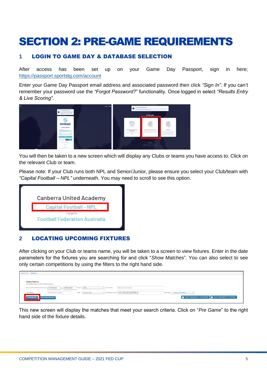### <span id="page-4-0"></span>SECTION 2: PRE-GAME REQUIREMENTS

#### <span id="page-4-1"></span>**1** LOGIN TO GAME DAY & DATABASE SELECTION

After access has been set up on your Game Day Passport, sign in here; <https://passport.sportstg.com/account>

Enter your Game Day Passport email address and associated password then click *"Sign In"*. If you can't remember your password use the *"Forgot Password?*" functionality. Once logged in select *"Results Entry & Live Scoring"*.



You will then be taken to a new screen which will display any Clubs or teams you have access to. Click on the relevant Club or team.

Please note: If your Club runs both NPL and Senior/Junior, please ensure you select your Club/team with *"Capital Football – NPL"* underneath. You may need to scroll to see this option.



#### <span id="page-4-2"></span>**2** LOCATING UPCOMING FIXTURES

After clicking on your Club or teams name, you will be taken to a screen to view fixtures. Enter in the date parameters for the fixtures you are searching for and click "*Show Matches*". You can also select to see only certain competitions by using the filters to the right hand side.

|  | Match List Feedback                                                          |                            |                        |              |                                                 |                                                                              |
|--|------------------------------------------------------------------------------|----------------------------|------------------------|--------------|-------------------------------------------------|------------------------------------------------------------------------------|
|  |                                                                              |                            |                        |              |                                                 |                                                                              |
|  | <b>Display Matches</b><br>Use the filters below to list the desired matches. |                            |                        |              |                                                 |                                                                              |
|  | Show matches between (dd/mm/yyy): 07/03/2020                                 | and 08/03/2020             | Season 2020            | v Venue Name | Select Some Options                             |                                                                              |
|  | Match Status                                                                 | Select Some Options        | Clubs<br>Select a club |              | v Competition Name   U13 - NPL ACT Youth 2020 X | Confirmed? -- Select confirmed--<br>V                                        |
|  | <b>SHOW MATCHES</b>                                                          | <b>ENTER QUICK RESULTS</b> |                        |              |                                                 | <b>B</b> BULK TEAM SHEETS - CF OUTDOOR <b>B</b> BULK TEAM SHEETS - CF FUTSAL |

This new screen will display the matches that meet your search criteria. Click on "*Pre Game*" to the right hand side of the fixture details.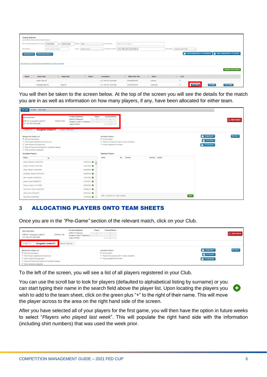| <b>Display Matches</b>             | Use the filters below to list the desired matches.                     |                  |                          |                           |                                   |              |                                      |                         |                                                                              |                           |  |  |  |
|------------------------------------|------------------------------------------------------------------------|------------------|--------------------------|---------------------------|-----------------------------------|--------------|--------------------------------------|-------------------------|------------------------------------------------------------------------------|---------------------------|--|--|--|
| Show matches between (dd/mm/yyyy): | 07/03/2020                                                             | and 08/03/2020   | 2020<br>Season           | v Venue Name              | Select Some Options               |              |                                      |                         |                                                                              |                           |  |  |  |
| Match Status                       | Select Some Options                                                    |                  | Clubs<br>Select a club   | <b>v</b> Competition Name | U13 - NPL ACT Youth 2020 x        |              | Confirmed?<br>--Select confirmed--   | $\overline{\mathbf{v}}$ |                                                                              |                           |  |  |  |
| <b>SHOW MATCHES</b>                | <b>ENTER QUICK RESULTS</b>                                             |                  |                          |                           |                                   |              |                                      |                         | <b>B</b> BULK TEAM SHEETS - CF OUTDOOR <b>B</b> BULK TEAM SHEETS - CF FUTSAL |                           |  |  |  |
|                                    |                                                                        |                  |                          |                           |                                   |              |                                      |                         |                                                                              |                           |  |  |  |
|                                    | Click here to view a Match Officials Allocation list for below matches |                  |                          |                           |                                   |              |                                      |                         |                                                                              |                           |  |  |  |
|                                    |                                                                        |                  |                          |                           |                                   |              |                                      |                         |                                                                              | <b>UPDATE LOCK STATUS</b> |  |  |  |
|                                    |                                                                        |                  |                          |                           |                                   |              |                                      |                         |                                                                              |                           |  |  |  |
| <b>Result</b>                      | <b>Home Team</b>                                                       | C Away Team      | $\Leftrightarrow$ Result | Competition               | <b>Match Date Time</b><br>$\circ$ | $\sim$ Venue | $\sim$ Lock                          |                         |                                                                              |                           |  |  |  |
|                                    | Woden Valley SC                                                        |                  |                          | U13 - NPL ACT Youth 2020  | 07/03/2020 00:00                  | Unknown      | $\qquad \qquad \qquad \qquad \qquad$ |                         |                                                                              |                           |  |  |  |
|                                    | Brindabella Blues FC                                                   | <b>Tigers FC</b> |                          | U13 - NPL ACT Youth 2020  | 07/03/2020 09:00                  | Calwell 204  | $\Box$                               | PRE GAME                | AT GAME                                                                      | POST GAME                 |  |  |  |

You will then be taken to the screen below. At the top of the screen you will see the details for the match you are in as well as information on how many players, if any, have been allocated for either team.

| AT GAME POST GAME<br>PRE GAME                                                                                                                                                                                                    |                                                                                                                      |                                                                                                                                     |                                                                    |
|----------------------------------------------------------------------------------------------------------------------------------------------------------------------------------------------------------------------------------|----------------------------------------------------------------------------------------------------------------------|-------------------------------------------------------------------------------------------------------------------------------------|--------------------------------------------------------------------|
| <b>Game Information</b><br>Griffith FC vs Gungahlin United FC<br>07/03/20 10:00<br>U13 - NPL ACT Youth 2020                                                                                                                      | <b>Pre Game Dashboard</b><br>Players<br>Griffith FC Selections<br>Gungahlin United FC Selections<br>League Officials | Coaches/Officials                                                                                                                   |                                                                    |
| <b>Gungahlin United FC</b><br><b>Griffith FC</b>                                                                                                                                                                                 | <b>Match Officials</b>                                                                                               |                                                                                                                                     |                                                                    |
| <b>Manage this Display List</b><br>Show all Club players<br>Show Players registered to this team only<br>Show Players to this age group<br>Show all Financial Club players for Competition Season<br>Show all players unassigned |                                                                                                                      | <b>Autoselect Players</b><br>C No Auto Select<br>Players from previous match in same competition<br>Players registered to this team | <b>B</b> , TEAM SHEET<br><b>B</b> CF FUTSAL<br><b>B</b> CF OUTDOOR |
| <b>Available Players</b>                                                                                                                                                                                                         |                                                                                                                      | <b>Selected Players</b>                                                                                                             |                                                                    |
| Filter<br>$\circ$                                                                                                                                                                                                                |                                                                                                                      | Name<br>No.<br>Position<br>Starting Captain                                                                                         |                                                                    |
| Abbas, Badreldin (03/09/1999)                                                                                                                                                                                                    | $(59987594)$ $\bullet$                                                                                               |                                                                                                                                     |                                                                    |
| Adams, Michael (21/02/1995)                                                                                                                                                                                                      | $(10531868)$ $\bullet$                                                                                               |                                                                                                                                     |                                                                    |
| Addai, Mansah (18/03/2006)                                                                                                                                                                                                       | $(79030599)$ $\bullet$                                                                                               |                                                                                                                                     |                                                                    |
| Adi Reddy, Eshaan (22/01/2012)                                                                                                                                                                                                   | $(85496768)$ $\bullet$                                                                                               |                                                                                                                                     |                                                                    |
| Afridi, Jansher (13/09/2014)                                                                                                                                                                                                     | $(10791358)$ $\bullet$                                                                                               |                                                                                                                                     |                                                                    |
| Ahmed, Faazil (06/06/2011)                                                                                                                                                                                                       | $(10734871)$ $\bullet$                                                                                               |                                                                                                                                     |                                                                    |
| Ahmed, Osama (14/11/2008)                                                                                                                                                                                                        | $(80938509)$ $\bullet$                                                                                               |                                                                                                                                     |                                                                    |
| Ahsanullah, Rohail (23/06/2010)                                                                                                                                                                                                  | $(84680610)$ O                                                                                                       |                                                                                                                                     |                                                                    |
| Aitolu, Elke (27/02/2003)                                                                                                                                                                                                        | $(59993501)$ $\bullet$                                                                                               |                                                                                                                                     |                                                                    |
| Ajaj, Steve (22/09/2009)                                                                                                                                                                                                         | $(10778045)$ $\bullet$                                                                                               | $OP = On$ Permit $Q =$ Finals Qualified                                                                                             | SAVE                                                               |

#### <span id="page-5-0"></span>**3** ALLOCATING PLAYERS ONTO TEAM SHEETS

Once you are in the *"Pre-Game"* section of the relevant match, click on your Club.

| <b>Gungahlin United FC</b><br>Match Officials<br><b>Autoselect Players</b><br>No Auto Select<br>Players from previous match in same competition<br>Players registered to this team         | <b>Game Information</b><br>Griffith FC vs Gungahlin United FC<br>07/03/20 10:00<br>U13 - NPLACT Youth 2020 | <b>Pre Game Dashboard</b><br>Griffith FC Selections<br>Gungahlin United FC Selections<br>League Officials | Players | Coaches/Officials |
|--------------------------------------------------------------------------------------------------------------------------------------------------------------------------------------------|------------------------------------------------------------------------------------------------------------|-----------------------------------------------------------------------------------------------------------|---------|-------------------|
| Manage this Display List<br>Show all Club players<br>Show Players registered to this team only<br>Show Players to this age group<br>Show all Financial Club players for Competition Season | <b>Griffith FC</b>                                                                                         |                                                                                                           |         |                   |
|                                                                                                                                                                                            |                                                                                                            |                                                                                                           |         |                   |
|                                                                                                                                                                                            |                                                                                                            |                                                                                                           |         |                   |
|                                                                                                                                                                                            |                                                                                                            |                                                                                                           |         |                   |

To the left of the screen, you will see a list of all players registered in your Club.

You can use the scroll bar to look for players (defaulted to alphabetical listing by surname) or you can start typing their name in the search field above the player list. Upon locating the players you wish to add to the team sheet, click on the green plus "+" to the right of their name. This will move the player across to the area on the right hand side of the screen.

After you have selected all of your players for the first game, you will then have the option in future weeks to select "*Players who played last week*". This will populate the right hand side with the information (including shirt numbers) that was used the week prior.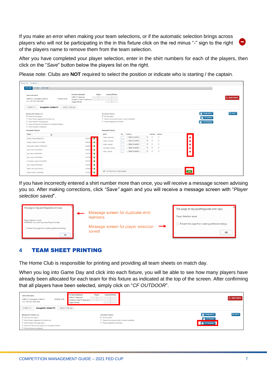If you make an error when making your team selections, or if the automatic selection brings across players who will not be participating in the in this fixture click on the red minus "-" sign to the right of the players name to remove them from the team selection.

After you have completed your player selection, enter in the shirt numbers for each of the players, then click on the "*Save*" button below the players list on the right.

Please note: Clubs are **NOT** required to select the position or indicate who is starting / the captain.

| AT GAME POST GAME<br>PRE GAME                                                                                                                                                                                                    |                                                |                                                                                                                                                |                                                                            |                                                                  |               |
|----------------------------------------------------------------------------------------------------------------------------------------------------------------------------------------------------------------------------------|------------------------------------------------|------------------------------------------------------------------------------------------------------------------------------------------------|----------------------------------------------------------------------------|------------------------------------------------------------------|---------------|
| <b>Pre Game Dashboard</b><br><b>Game Information</b><br>Griffith FC Selections<br>Griffith FC vs Gungahlin United FC<br>07/03/20 10:00<br>Gungahlin United FC Selections<br>U13 - NPL ACT Youth 2020<br>League Officials         | Players                                        | Coaches/Officials<br>$\Omega$                                                                                                                  |                                                                            |                                                                  | C RESET MATCH |
| <b>Griffith FC</b><br><b>Gungahlin United FC</b><br><b>Match Officials</b>                                                                                                                                                       |                                                |                                                                                                                                                |                                                                            |                                                                  |               |
| <b>Manage this Display List</b><br>Show all Club players<br>Show Players registered to this team only<br>Show Players to this age group<br>Show all Financial Club players for Competition Season<br>Show all players unassigned |                                                | <b>Autoselect Players</b><br><sup>®</sup> No Auto Select<br>Players from previous match in same competition<br>Players registered to this team |                                                                            | <b>E</b> TEAM SHEET<br><b>E</b> CF FUTSAL<br><b>E</b> CF OUTDOOR | $Qo$ TOOLS    |
| <b>Available Players</b>                                                                                                                                                                                                         |                                                | <b>Selected Players</b>                                                                                                                        |                                                                            |                                                                  |               |
|                                                                                                                                                                                                                                  |                                                | Name                                                                                                                                           | No.<br><b>Position</b><br>Starting Captain                                 |                                                                  |               |
| Filter<br>$\circ$                                                                                                                                                                                                                |                                                | Abbas, Badreldin                                                                                                                               | $\qquad \qquad \Box$<br>$\odot$<br>-- Select a position --<br>$\mathbf{v}$ | $\bullet$                                                        |               |
| Ahmed, Faazil (06/06/2011)                                                                                                                                                                                                       | <b>DO</b><br>(107348)                          | Adams, Michael                                                                                                                                 | $\qquad \qquad \Box$<br>$\odot$<br>-- Select a position --<br>$\mathbf{r}$ | ۰                                                                |               |
| Ahmed, Osama (14/11/2008)<br>Ahsanullah, Rohail (23/06/2010)                                                                                                                                                                     | (809385)<br>$\bullet$<br>(846806)<br>$\bullet$ | Addai, Mansah                                                                                                                                  | $\qquad \qquad \Box$<br>$\odot$<br>-- Select a position --<br>$\mathbf{r}$ | ۰                                                                |               |
| Aitolu, Elke (27/02/2003)                                                                                                                                                                                                        | (599935)<br>$\bullet$                          | Adi Reddy, Eshaan                                                                                                                              | $\Box$<br>$\odot$<br>-- Select a position --<br>$\mathbf{r}$               | ۰                                                                |               |
| Ajaj, Steve (22/09/2009)                                                                                                                                                                                                         | (107780-<br>$\bullet$                          | Afridi, Jansher                                                                                                                                | $\qquad \qquad \Box$<br>$\circ$<br>-- Select a position --<br>$\mathbf{v}$ | ۰                                                                |               |
| Ajaj, Yousif (18/07/2006)                                                                                                                                                                                                        | (1077806<br>$\bullet$                          |                                                                                                                                                |                                                                            |                                                                  |               |
| Al-Samadi, Jawad (14/04/2007)                                                                                                                                                                                                    | (757725)<br>$\bullet$                          |                                                                                                                                                |                                                                            |                                                                  |               |
| Alam, Sajid (05/08/2008)                                                                                                                                                                                                         | (1054695<br>ŀ۰                                 |                                                                                                                                                |                                                                            |                                                                  |               |
| Albert, Phan (20/12/2012)                                                                                                                                                                                                        | (107868)<br>$\bullet$                          | $OP = On$ Permit $Q =$ Finals Qualified                                                                                                        |                                                                            | SAVE                                                             |               |

If you have incorrectly entered a shirt number more than once, you will receive a message screen advising you so. After making corrections, click *"Save"* again and you will receive a message screen with "*Player selection saved*".

| Message screen for duplicate shirt<br>Player Selection saved<br>numbers                                                                                                                                          |  |
|------------------------------------------------------------------------------------------------------------------------------------------------------------------------------------------------------------------|--|
| Player Selection saved                                                                                                                                                                                           |  |
| WARNING: You have duplicate Player Number.<br>Prevent this page from creating additional dialogs.<br>Message screen for player selection<br>$\rightarrow$<br>Prevent this page from creating additional dialogs. |  |
| saved<br>OK<br>OK                                                                                                                                                                                                |  |

#### <span id="page-6-0"></span>**4** TEAM SHEET PRINTING

The Home Club is responsible for printing and providing all team sheets on match day.

When you log into Game Day and click into each fixture, you will be able to see how many players have already been allocated for each team for this fixture as indicated at the top of the screen. After confirming that all players have been selected, simply click on "*CF OUTDOOR*".

| <b>Game Information</b><br>Griffith FC vs Gungahlin United FC<br>07/03/20 10:00<br>U13 - NPL ACT Youth 2020 | Pre Game Dashboard<br>Griffith FC Selections<br>Gungahlin United FC Selections<br>League Officials | Players | Coaches/Officials<br>$\mathbf{0}$<br>$\Omega$   |                                  | C RESET MATCH        |
|-------------------------------------------------------------------------------------------------------------|----------------------------------------------------------------------------------------------------|---------|-------------------------------------------------|----------------------------------|----------------------|
| <b>Griffith FC</b><br><b>Match Officials</b><br><b>Gungahlin United FC</b>                                  |                                                                                                    |         |                                                 |                                  |                      |
| Manage this Display List                                                                                    |                                                                                                    |         | <b>Autoselect Players</b>                       | <b>B</b> <sub>1</sub> TEAM SHEET | $\Phi_{\rm s}$ TOOLS |
| Show all Club players                                                                                       |                                                                                                    |         | No Auto Select                                  | CF FUTSAL                        |                      |
| Show Players registered to this team only                                                                   |                                                                                                    |         | Players from previous match in same competition |                                  |                      |
| Show Players to this age group                                                                              |                                                                                                    |         | Players registered to this team                 | $\mathbf{B}$ CF OUTDOOR          |                      |
| Show all Financial Club players for Competition Season                                                      |                                                                                                    |         |                                                 |                                  |                      |
| Show all players unassigned                                                                                 |                                                                                                    |         |                                                 |                                  |                      |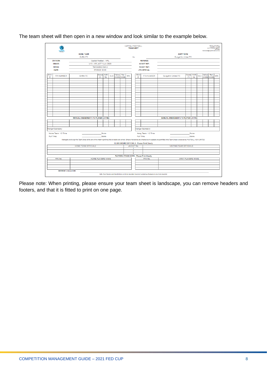The team sheet will then open in a new window and look similar to the example below.

|            |                             |                                     |                   |            |            |        |      |                 | CAPITAL FOOTBALL<br><b>TEAMSHEET</b> |                                                                                                                 |                                                                                                                                                                                                                      |                |            |     | matchcarda@capitalfootball.com.au |      | CAPITAL FOOTBALL<br>FOOTBALL HOUSE<br>23 PHIPPS CL, DEAKIN<br>ACT 2000 |
|------------|-----------------------------|-------------------------------------|-------------------|------------|------------|--------|------|-----------------|--------------------------------------|-----------------------------------------------------------------------------------------------------------------|----------------------------------------------------------------------------------------------------------------------------------------------------------------------------------------------------------------------|----------------|------------|-----|-----------------------------------|------|------------------------------------------------------------------------|
|            |                             | <b>HOME TEAM</b>                    |                   |            |            |        |      |                 |                                      |                                                                                                                 | <b>AWAY TEAM</b>                                                                                                                                                                                                     |                |            |     |                                   |      |                                                                        |
|            |                             | Griffith FC                         |                   |            |            |        |      |                 | <b>Vs</b>                            |                                                                                                                 | Gungahlin United FC                                                                                                                                                                                                  |                |            |     |                                   |      |                                                                        |
|            | <b>DIVISION:</b>            | Capital Football - NPL              |                   |            |            |        |      | <b>REFEREE:</b> |                                      |                                                                                                                 |                                                                                                                                                                                                                      |                |            |     |                                   |      |                                                                        |
|            | <b>GRADE:</b>               | U13 - NPL ACT Youth 2020            |                   |            |            |        |      |                 |                                      | <b>ASSIST REF:</b>                                                                                              |                                                                                                                                                                                                                      |                |            |     |                                   |      |                                                                        |
|            | <b>VENUE:</b>               |                                     | Ted Scobie Oval 2 |            |            |        |      |                 |                                      | <b>ASSIST REF:</b>                                                                                              |                                                                                                                                                                                                                      |                |            |     |                                   |      |                                                                        |
|            | DATE:                       |                                     | 07/03/20 10:00    |            |            |        |      |                 |                                      | <b>4TH OFFICIAL:</b>                                                                                            |                                                                                                                                                                                                                      |                |            |     |                                   |      |                                                                        |
| Shirt      |                             |                                     | <b>Starter</b>    | <b>SUB</b> |            | Yellow | Red  |                 | <b>Shirt</b>                         |                                                                                                                 |                                                                                                                                                                                                                      | <b>Starter</b> | <b>SUB</b> |     | Yellow                            | Red  |                                                                        |
| $\#$       | <b>FFA NUMBER</b>           | Griffith FC                         | (1)               | No.        | <b>GLS</b> | CODE   | CODE | MIN.            | #                                    | <b>FFA NUMBER</b>                                                                                               | Gungahlin United FC                                                                                                                                                                                                  | (1)            | No.        | GLS | CODE                              | CODE | MIN.                                                                   |
|            |                             |                                     |                   |            |            |        |      |                 |                                      |                                                                                                                 |                                                                                                                                                                                                                      |                |            |     |                                   |      |                                                                        |
|            |                             |                                     |                   |            |            |        |      |                 |                                      |                                                                                                                 |                                                                                                                                                                                                                      |                |            |     |                                   |      |                                                                        |
|            |                             |                                     |                   |            |            |        |      |                 |                                      |                                                                                                                 |                                                                                                                                                                                                                      |                |            |     |                                   |      |                                                                        |
|            |                             |                                     |                   |            |            |        |      |                 |                                      |                                                                                                                 |                                                                                                                                                                                                                      |                |            |     |                                   |      |                                                                        |
|            |                             |                                     |                   |            |            |        |      |                 |                                      |                                                                                                                 |                                                                                                                                                                                                                      |                |            |     |                                   |      |                                                                        |
|            |                             |                                     |                   |            |            |        |      |                 |                                      |                                                                                                                 |                                                                                                                                                                                                                      |                |            |     |                                   |      |                                                                        |
|            |                             |                                     |                   |            |            |        |      |                 |                                      |                                                                                                                 |                                                                                                                                                                                                                      |                |            |     |                                   |      |                                                                        |
|            |                             |                                     |                   |            |            |        |      |                 |                                      |                                                                                                                 |                                                                                                                                                                                                                      |                |            |     |                                   |      |                                                                        |
|            |                             |                                     |                   |            |            |        |      |                 |                                      |                                                                                                                 |                                                                                                                                                                                                                      |                |            |     |                                   |      |                                                                        |
|            |                             |                                     |                   |            |            |        |      |                 |                                      |                                                                                                                 |                                                                                                                                                                                                                      |                |            |     |                                   |      |                                                                        |
|            |                             |                                     |                   |            |            |        |      |                 |                                      |                                                                                                                 |                                                                                                                                                                                                                      |                |            |     |                                   |      |                                                                        |
|            |                             | MANUAL AMENDMENTS TO PLAYER LISTING |                   |            |            |        |      |                 |                                      |                                                                                                                 | MANUAL AMENDMENTS TO PLAYER LISTING                                                                                                                                                                                  |                |            |     |                                   |      |                                                                        |
|            |                             |                                     |                   |            |            |        |      |                 |                                      |                                                                                                                 |                                                                                                                                                                                                                      |                |            |     |                                   |      |                                                                        |
|            |                             |                                     |                   |            |            |        |      |                 |                                      |                                                                                                                 |                                                                                                                                                                                                                      |                |            |     |                                   |      |                                                                        |
|            |                             |                                     |                   |            |            |        |      |                 |                                      |                                                                                                                 |                                                                                                                                                                                                                      |                |            |     |                                   |      |                                                                        |
|            | Manger/Secretary:           |                                     |                   |            |            |        |      |                 |                                      | Manger/Secretary:                                                                                               |                                                                                                                                                                                                                      |                |            |     |                                   |      |                                                                        |
|            | Home Team: 1/2 Time:        |                                     |                   | Score      |            |        |      |                 |                                      | Away Team: 1/2 Time:                                                                                            |                                                                                                                                                                                                                      |                | Score      |     |                                   |      |                                                                        |
| Full Time: |                             |                                     |                   | Score      |            |        |      |                 |                                      | Full Time:                                                                                                      |                                                                                                                                                                                                                      |                | Score      |     |                                   |      |                                                                        |
|            |                             |                                     |                   |            |            |        |      |                 |                                      |                                                                                                                 | Managers are to sign the Team Sheet at the end of the match signifying that all details are correct. Ensure that scores are checked as no appeals are permitted once Team Sheet is received by FOOTBALL NSW LIMITED. |                |            |     |                                   |      |                                                                        |
|            |                             |                                     |                   |            |            |        |      |                 |                                      | CLUB GROUND OFFICIALS - Please Print Clearly                                                                    |                                                                                                                                                                                                                      |                |            |     |                                   |      |                                                                        |
|            |                             | <b>HOME TEAM OFFICIALS</b>          |                   |            |            |        |      |                 | <b>JACKET No.</b><br>-1              |                                                                                                                 | <b>VISITING TEAM OFFICIALS</b>                                                                                                                                                                                       |                |            |     |                                   |      |                                                                        |
|            |                             |                                     |                   |            |            |        |      |                 | $\overline{\mathbf{2}}$              |                                                                                                                 |                                                                                                                                                                                                                      |                |            |     |                                   |      |                                                                        |
|            |                             |                                     |                   |            |            |        |      |                 | з                                    |                                                                                                                 |                                                                                                                                                                                                                      |                |            |     |                                   |      |                                                                        |
|            |                             |                                     |                   |            |            |        |      |                 |                                      | PLAYERS STOOD DOWN - Please Print Clearly                                                                       |                                                                                                                                                                                                                      |                |            |     |                                   |      |                                                                        |
|            | FFA No.                     |                                     | HOME PLAYERS NAME |            |            |        |      |                 |                                      | FFA No.                                                                                                         | AWAY PLAYERS NAME                                                                                                                                                                                                    |                |            |     |                                   |      |                                                                        |
|            |                             |                                     |                   |            |            |        |      |                 |                                      |                                                                                                                 |                                                                                                                                                                                                                      |                |            |     |                                   |      |                                                                        |
|            |                             |                                     |                   |            |            |        |      |                 |                                      |                                                                                                                 |                                                                                                                                                                                                                      |                |            |     |                                   |      |                                                                        |
|            |                             |                                     |                   |            |            |        |      |                 |                                      |                                                                                                                 |                                                                                                                                                                                                                      |                |            |     |                                   |      |                                                                        |
|            | <b>REFEREE'S SIGNATURE:</b> |                                     |                   |            |            |        |      |                 |                                      | Note: Goal Soorers and Substitutions are to be recorded, incorrect numbering of players is also to be reported. |                                                                                                                                                                                                                      |                |            |     |                                   |      |                                                                        |

Please note: When printing, please ensure your team sheet is landscape, you can remove headers and footers, and that it is fitted to print on one page.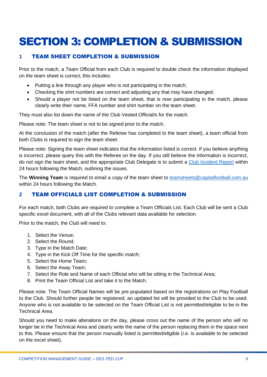# <span id="page-8-0"></span>SECTION 3: COMPLETION & SUBMISSION

### <span id="page-8-1"></span>**1** TEAM SHEET COMPLETION & SUBMISSION

Prior to the match, a Team Official from each Club is required to double check the information displayed on the team sheet is correct, this includes:

- Putting a line through any player who is not participating in the match;
- Checking the shirt numbers are correct and adjusting any that may have changed;
- Should a player not be listed on the team sheet, that is now participating in the match, please clearly write their name, FFA number and shirt number on the team sheet.

They must also list down the name of the Club Vested Official/s for the match.

Please note: The team sheet is not to be signed prior to the match.

At the conclusion of the match (after the Referee has completed to the team sheet), a team official from both Clubs is required to sign the team sheet.

Please note: Signing the team sheet indicates that the information listed is correct. If you believe anything is incorrect, please query this with the Referee on the day. If you still believe the information is incorrect, do not sign the team sheet, and the appropriate Club Delegate is to submit a [Club Incident Report](https://capitalfootball.com.au/clubs/resources/) within 24 hours following the Match, outlining the issues.

The **Winning Team** is required to email a copy of the team sheet to [teamsheets@capitalfootball.com.au](mailto:teamsheets@capitalfootball.com.au) within 24 hours following the Match.

#### <span id="page-8-2"></span>**2** TEAM OFFICIALS LIST COMPLETION & SUBMISSION

For each match, both Clubs are required to complete a Team Officials List. Each Club will be sent a Club specific excel document, with all of the Clubs relevant data available for selection.

Prior to the match, the Club will need to:

- 1. Select the Venue;
- 2. Select the Round;
- 3. Type in the Match Date;
- 4. Type in the Kick Off Time for the specific match;
- 5. Select the Home Team;
- 6. Select the Away Team;
- 7. Select the Role and Name of each Official who will be sitting in the Technical Area;
- 8. Print the Team Official List and take it to the Match.

Please note: The Team Official Names will be pre-populated based on the registrations on Play Football to the Club. Should further people be registered, an updated list will be provided to the Club to be used. Anyone who is not available to be selected on the Team Official List is not permitted/eligible to be in the Technical Area.

Should you need to make alterations on the day, please cross out the name of the person who will no longer be in the Technical Area and clearly write the name of the person replacing them in the space next to this. Please ensure that the person manually listed is permitted/eligible (i.e. is available to be selected on the excel sheet).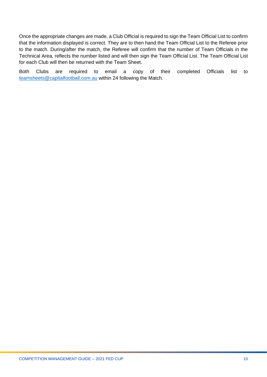Once the appropriate changes are made, a Club Official is required to sign the Team Official List to confirm that the information displayed is correct. They are to then hand the Team Official List to the Referee prior to the match. During/after the match, the Referee will confirm that the number of Team Officials in the Technical Area, reflects the number listed and will then sign the Team Official List. The Team Official List for each Club will then be returned with the Team Sheet.

Both Clubs are required to email a copy of their completed Officials list to [teamsheets@capitalfootball.com.au](mailto:teamsheets@capitalfootball.com.au) within 24 following the Match.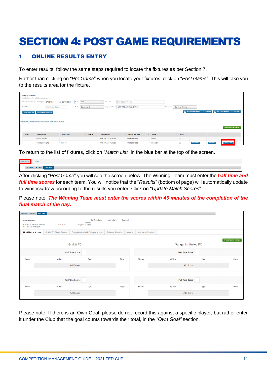## <span id="page-10-0"></span>SECTION 4: POST GAME REQUIREMENTS

#### <span id="page-10-1"></span>**1** ONLINE RESULTS ENTRY

To enter results, follow the same steps required to locate the fixtures as per Section 7.

Rather than clicking on "*Pre Game*" when you locate your fixtures, click on "*Post Game*". This will take you to the results area for the fixture.

| <b>Display Matches</b><br>Show matches between (dd/mm/yyyy): | Use the filters below to list the desired matches.<br>07/03/2020       | and 08/03/2020   | 2020<br>Season           | v Venue Name              | Select Some Options                      |                        |                                      |              |                                                                              |                           |
|--------------------------------------------------------------|------------------------------------------------------------------------|------------------|--------------------------|---------------------------|------------------------------------------|------------------------|--------------------------------------|--------------|------------------------------------------------------------------------------|---------------------------|
| Match Status                                                 | <b>Select Some Options</b>                                             |                  | Select a club<br>Clubs   | <b>v</b> Competition Name | U13 - NPL ACT Youth 2020 x               |                        | --Select confirmed--<br>Confirmed?   | $\mathbf{v}$ |                                                                              |                           |
| <b>SHOW MATCHES</b>                                          | <b>ENTER QUICK RESULTS</b>                                             |                  |                          |                           |                                          |                        |                                      |              | <b>B</b> BULK TEAM SHEETS - CF OUTDOOR <b>B</b> BULK TEAM SHEETS - CF FUTSAL |                           |
|                                                              |                                                                        |                  |                          |                           |                                          |                        |                                      |              |                                                                              |                           |
|                                                              | Click here to view a Match Officials Allocation list for below matches |                  |                          |                           |                                          |                        |                                      |              |                                                                              |                           |
|                                                              |                                                                        |                  |                          |                           |                                          |                        |                                      |              |                                                                              | <b>UPDATE LOCK STATUS</b> |
| Result                                                       | <b>Home Team</b>                                                       | C Away Team      | $\Leftrightarrow$ Result | Competition               | <b>Match Date Time</b><br>$\ddot{\circ}$ | <b>Venue</b><br>$\sim$ | $\sim$ Lock                          |              |                                                                              |                           |
|                                                              | Woden Valley SC                                                        |                  |                          | U13 - NPL ACT Youth 2020  | 07/03/2020 00:00                         | Unknown                | $\qquad \qquad \qquad \qquad \qquad$ |              |                                                                              |                           |
|                                                              | <b>Brindabella Blues FC</b>                                            | <b>Tigers FC</b> |                          | U13 - NPL ACT Youth 2020  | 07/03/2020 09:00                         | Calwell 204            | $\qquad \qquad \Box$                 | PRE GAME     | AT GAME                                                                      | POST GAME                 |

To return to the list of fixtures, click on "*Match List*" in the blue bar at the top of the screen.

| and Magazine               |  |  |
|----------------------------|--|--|
| PRE GAME AT GAME POST GAME |  |  |

After clicking "*Post Game*" you will see the screen below. The Winning Team must enter the *half time and full time scores* for each team. You will notice that the "*Results*" (bottom of page) will automatically update to win/loss/draw according to the results you enter. Click on "*Update Match Scores*".

Please note: *The Winning Team must enter the scores within 45 minutes of the completion of the final match of the day.*

| PRE GAME AT GAME                                                                          | <b>POST GAME</b>          |                                                              |                         |                  |                           |                            |      |                            |
|-------------------------------------------------------------------------------------------|---------------------------|--------------------------------------------------------------|-------------------------|------------------|---------------------------|----------------------------|------|----------------------------|
| <b>Game Information</b><br>Griffith FC vs Gungahlin United FC<br>U13 - NPL ACT Youth 2020 | 07/03/20 10:00            | <b>Full Time Score</b><br>Griffith FC<br>Gungahlin United FC | <b>Yellow Cards</b>     | <b>Red Cards</b> |                           |                            |      |                            |
| <b>Final Match Scores</b>                                                                 | Griffith FC Player Scores | Gungahlin United FC Player Scores                            | <b>Tribunal Records</b> | Awards           | <b>Match Confirmation</b> |                            |      |                            |
|                                                                                           |                           | <b>Griffith FC</b>                                           |                         |                  |                           | <b>Gungahlin United FC</b> |      | <b>UPDATE MATCH SCORES</b> |
|                                                                                           | <b>Half Time Score</b>    |                                                              |                         |                  | <b>Half Time Score</b>    |                            |      |                            |
| <b>Minutes</b>                                                                            | Inj. Time                 | Type                                                         | Player                  |                  | <b>Minutes</b>            | Inj. Time                  | Type | Player                     |
|                                                                                           | Add Scorer                |                                                              |                         |                  |                           | <b>Add Scorer</b>          |      |                            |
|                                                                                           |                           |                                                              |                         |                  |                           |                            |      |                            |
|                                                                                           | <b>Full Time Score</b>    |                                                              |                         |                  | <b>Full Time Score</b>    |                            |      |                            |
| <b>Minutes</b>                                                                            | Inj. Time                 | Type                                                         | Player                  |                  | <b>Minutes</b>            | Inj. Time                  | Type | Player                     |
|                                                                                           | Add Scorer                |                                                              |                         |                  |                           | Add Scorer                 |      |                            |
|                                                                                           |                           |                                                              |                         |                  |                           |                            |      |                            |

Please note: If there is an Own Goal, please do not record this against a specific player, but rather enter it under the Club that the goal counts towards their total, in the *"Own Goal"* section.